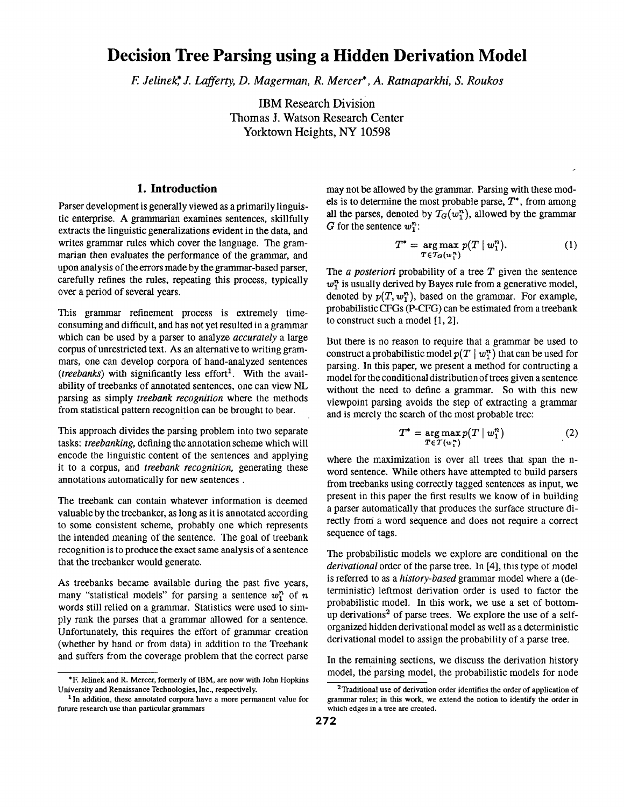# **Decision Tree Parsing using a Hidden Derivation Model**

*E Jelinek,\* J. Lafferty, D. Magerman, R. Mercer\*, A. Ratnaparkhi, S. Roukos* 

IBM Research Division Thomas J. Watson Research Center Yorktown Heights, NY 10598

### **1. Introduction**

Parser development is generally viewed as a primarily linguistic enterprise. A grammarian examines sentences, skillfully extracts the linguistic generalizations evident in the data, and writes grammar rules which cover the language. The grammarian then evaluates the performance of the grammar, and upon analysis of the errors made by the grammar-based parser, carefully refines the rules, repeating this process, typically over a period of several years.

This grammar refinement process is extremely timeconsuming and difficult, and has not yet resulted in a grammar which can be used by a parser to analyze *accurately* a large corpus of unrestricted text. As an alternative to writing grammars, one can develop corpora of hand-analyzed sentences *(treebanks)* with significantly less effort<sup>1</sup>. With the availability of treebanks of annotated sentences, one can view NL parsing as simply *treebank recognition* where the methods from statistical pattern recognition can be brought to bear.

This approach divides the parsing problem into two separate tasks: *treebanking,* defining the annotation scheme which will encode the linguistic content of the sentences and applying it to a corpus, and *treebank recognition,* generating these annotations automatically for new sentences.

The treebank can contain whatever information is deemed valuable by the treebanker, as long as it is annotated according to some consistent scheme, probably one which represents the intended meaning of the sentence. The goal of treebank recognition is to produce the exact same analysis of a sentence that the treebanker would generate.

As treebanks became available during the past five years, many "statistical models" for parsing a sentence  $w_1^n$  of n words still relied on a grammar. Statistics were used to simply rank the parses that a grammar allowed for a sentence. Unfortunately, this requires the effort of grammar creation (whether by hand or from data) in addition to the Treebank and suffers from the coverage problem that the correct parse

may not be allowed by the grammar. Parsing with these models is to determine the most probable parse,  $T^*$ , from among all the parses, denoted by  $T_G(w_1^n)$ , allowed by the grammar G for the sentence  $w_1^n$ :

$$
T^* = \underset{T \in \mathcal{T}_G(w_1^n)}{\arg \max} p(T \mid w_1^n). \tag{1}
$$

The *a posteriori* probability of a tree T given the sentence  $w_1^n$  is usually derived by Bayes rule from a generative model, denoted by  $p(T, w_1^n)$ , based on the grammar. For example, probabilistic CFGs (P-CFG) can be estimated from a treebank to construct such a model [I, 2].

But there is no reason to require that a grammar be used to construct a probabilistic model  $p(T | w_1^n)$  that can be used for parsing. In this paper, we present a method for contructing a model for the conditional distribution of trees given a sentence without the need to define a grammar. So with this new viewpoint parsing avoids the step of extracting a grammar and is merely the search of the most probable tree:

$$
T^* = \underset{T \in \mathcal{T}(w_1^*)}{\arg \max} p(T \mid w_1^n) \tag{2}
$$

where the maximization is over all trees that span the nword sentence. While others have attempted to build parsers from treebanks using correctly tagged sentences as input, we present in this paper the first results we know of in building a parser automatically that produces the surface structure directly from a word sequence and does not require a correct sequence of tags.

The probabilistic models we explore are conditional on the *derivational* order of the parse tree. In [4], this type of model is referred to as a *history-based* grammar model where a (deterministic) leftmost derivation order is used to factor the probabilistic model. In this work, we use a set of bottomup derivations<sup>2</sup> of parse trees. We explore the use of a selforganized hidden derivational model as well as a deterministic derivational model to assign the probability of a parse tree.

In the remaining sections, we discuss the derivation history model, the parsing model, the probabilistic models for node

<sup>\*</sup>E Jelinek and R. Mercer, formerly of IBM, are now will, John Hopkins University and Renaissance Technologies, Inc., respectively.

<sup>&</sup>lt;sup>1</sup> In addition, these annotated corpora have a more permanent value for **future research** use than particular grammars

<sup>&</sup>lt;sup>2</sup> Traditional use of derivation order identifies the order of application of **grammar** rules; in this work, we extend the notion to identify the order in which edges in a tree are created.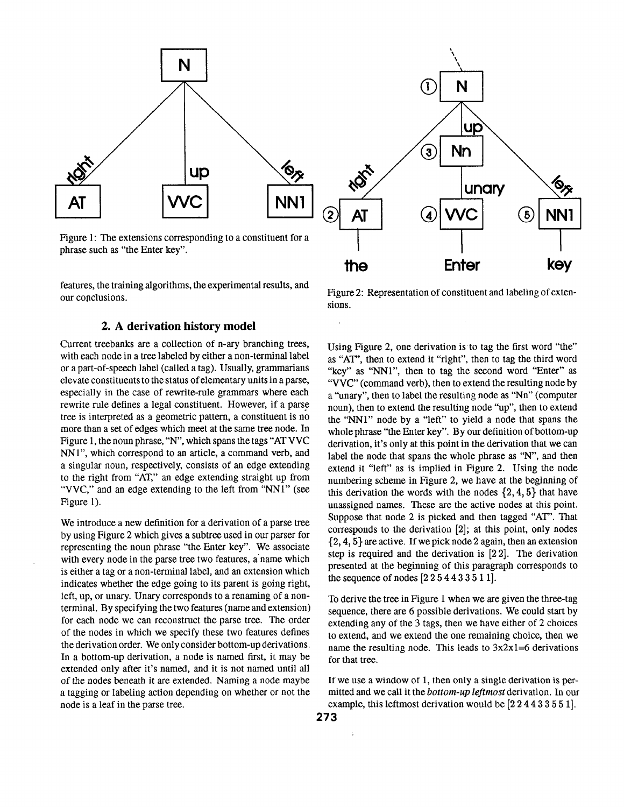

Figure 1: The extensions corresponding to a constituent for a phrase such as "the Enter key".

features, the training algorithms, the experimental results, and our conclusions.

### 2. A derivation **history model**

Current treebanks are a collection of n-ary branching trees, with each node in a tree labeled by either a non-terminal label or a part-of-speech label (called a tag). Usually, grammarians elevate constituents to the status of elementary units in a parse, especially in the case of rewrite-rule grammars where each rewrite rule defines a legal constituent. However, if a parse tree is interpreted as a geometric pattern, a constituent is no more than a set of edges which meet at the same tree node. In Figure 1, the noun phrase,"N", which spans the tags "AT VVC NN1", which correspond to an article, a command verb, and a singular noun, respectively, consists of an edge extending to the right from "AT," an edge extending straight up from "VVC," and an edge extending to the left from "NNI" (see Figure 1).

We introduce a new definition for a derivation of a parse tree by using Figure 2 which gives a subtree used in our parser for representing the noun phrase "the Enter key". We associate with every node in the parse tree two features, a name which is either a tag or a non-terminal label, and an extension which indicates whether the edge going to its parent is going right, left, up, or unary. Unary corresponds to a renaming of a nonterminal. By specifying the two features (name and extension) for each node we can reconstruct the parse tree. The order of the nodes in which we specify these two features defines the derivation order. We only consider bottom-up derivations. In a bottom-up derivation, a node is named first, it may be extended only after it's named, and it is not named until all of the nodes beneath it are extended. Naming a node maybe a tagging or labeling action depending on whether or not the node is a leaf in the parse tree.



Figure2: Representation of constituent and labeling of extensions.

Using Figure 2, one derivation is to tag the first word "the" as "AT", then to extend it "right", then to tag the third word "key" as "NNI", then to tag the second word "Enter" as "VVC" (command verb), then to extend the resulting node by a "unary", then to label the resulting node as "Nn" (computer noun), then to extend the resulting node "up", then to extend the "NNi" node by a "left" to yield a node that spans the whole phrase "the Enter key". By our definition of bottom-up derivation, it's only at this point in the derivation that we can label the node that spans the whole phrase as "N", and then extend it "left" as is implied in Figure 2. Using the node numbering scheme in Figure 2, we have at the beginning of this derivation the words with the nodes  $\{2, 4, 5\}$  that have unassigned names. These are the active nodes at this point. Suppose that node 2 is picked and then tagged "AT". That corresponds to the derivation [2]; at this point, only nodes {2, 4, 5} are active. If we pick node 2 again, then an extension step is required and the derivation is [22]. The derivation presented at the beginning of this paragraph corresponds to the sequence of nodes  $[2254433511]$ .

To derive the tree in Figure I when we are given the three-tag sequence, there are 6 possible derivations. We could start by extending any of the 3 tags, then we have either of 2 choices to extend, and we extend the one remaining choice, then we name the resulting node. This leads to  $3x2x1=6$  derivations for that tree.

If we use a window of 1, then only a single derivation is permitted and we call it the *bottom-up leftmost* derivation. In our example, this leftmost derivation would be [224433551].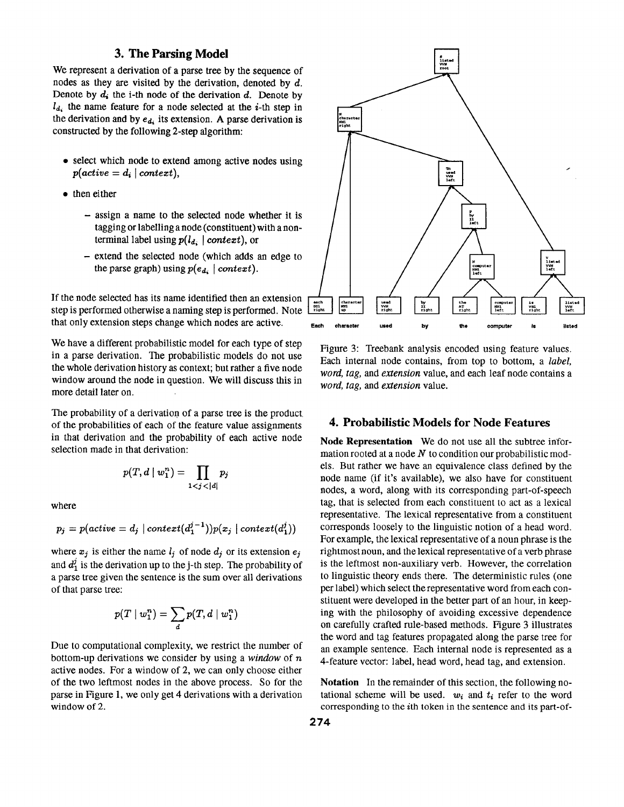### **3. The Parsing Model**

We represent a derivation of a parse tree by the sequence of nodes as they are visited by the derivation, denoted by d. Denote by  $d_i$  the i-th node of the derivation d. Denote by  $l_{d_i}$  the name feature for a node selected at the *i*-th step in the derivation and by  $e_{d_i}$  its extension. A parse derivation is constructed' by the following 2-step algorithm:

- select which node to extend among active nodes using  $p(active = d_i | context)$ ,
- then either
	- assign a name to the selected node whether it is tagging or labelling a node (constituent) with a nonterminal label using  $p(l_{d_i} \mid context)$ , or
	- extend the selected node (which adds an edge to the parse graph) using  $p(e_{d_i} \mid context)$ .

If the node selected has its name identified then an extension step is performed otherwise a naming step is performed. Note that only extension steps change which nodes are active.

We have a different probabilistic model for each type of step in a parse derivation. The probabilistic models do not use the whole derivation history as context; but rather a five node window around the node in question. We will discuss this in more detail later on.

The probability of a derivation of a parse tree is the product of the probabilities of each of the feature value assignments in that derivation and the probability of each active node selection made in that derivation:

$$
p(T,d\mid w_1^n)=\prod_{1
$$

where

$$
p_j = p(\textit{active} = d_j \mid \textit{context}(d_1^{j-1}))p(x_j \mid \textit{context}(d_1^{j}))
$$

where  $x_j$  is either the name  $l_j$  of node  $d_j$  or its extension  $e_j$ and  $d_1^j$  is the derivation up to the j-th step. The probability of a parse tree given the sentence is the sum over all derivations of that parse tree:

$$
p(T \mid w_1^n) = \sum_d p(T, d \mid w_1^n)
$$

Due to computational complexity, we restrict the number of bottom-up derivations we consider by using a *window* of n active nodes. For a window of 2, we can only choose either of the two leftmost nodes in the above process. So for the parse in Figure 1, we only get 4 derivations with a derivation window of 2.



Figure 3: Treebank analysis encoded using feature values. Each internal node contains, from top to bottom, a *label, word, tag, and extension* value, and each leaf node contains a *word, tag, and extension* value.

### **4. Probabilistic Models for Node Features**

**Node Representation** We do not use all the subtree information rooted at a node  $N$  to condition our probabilistic models. But rather we have an equivalence class defined by the node name (if it's available), we also have for constituent nodes, a word, along with its corresponding part-of-speech tag, that is selected from each constituent to act as a lexical representative. The lexical representative from a constituent corresponds loosely to the linguistic notion of a head word. For example, the lexical representative of a noun phrase is the rightmost noun, and the lexical representative of a verb phrase is the leftmost non-auxiliary verb. However, the correlation to linguistic theory ends there. The deterministic rules (one per label) which select the representative word from each constituent were developed in the better part of an hour, in keeping with the philosophy of avoiding excessive dependence on carefully crafted rule-based methods. Figure 3 illustrates the word and tag features propagated along the parse tree for an example sentence. Each internal node is represented as a 4-feature vector: label, head word, head tag, and extension.

**Notation** In the remainder of this section, the following notational scheme will be used.  $w_i$  and  $t_i$  refer to the word corresponding to the ith token in the sentence and its part-of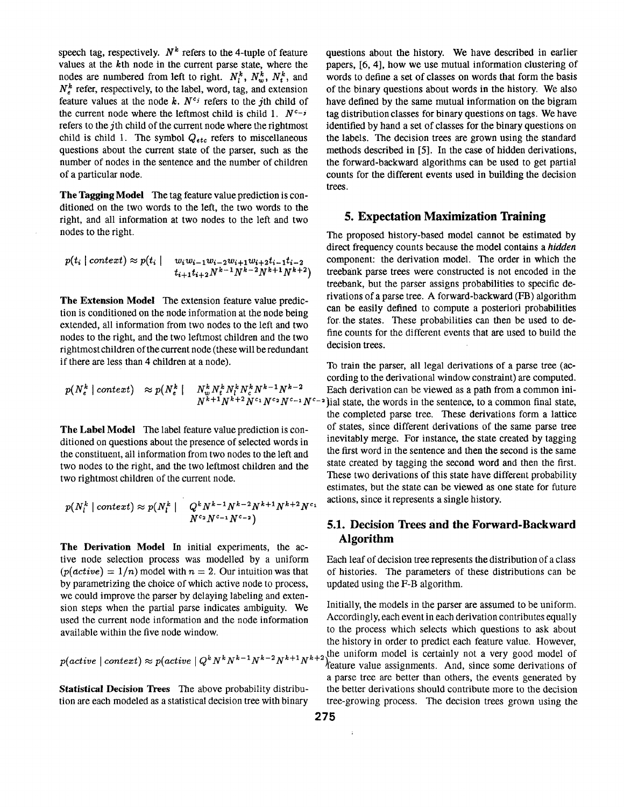speech tag, respectively.  $N^k$  refers to the 4-tuple of feature values at the kth node in the current parse state, where the nodes are numbered from left to right.  $N_i^k$ ,  $N_w^k$ ,  $N_i^k$ , and  $N_e^k$  refer, respectively, to the label, word, tag, and extension feature values at the node  $k$ .  $N^{c_j}$  refers to the jth child of the current node where the leftmost child is child 1.  $N^{c-j}$ refers to the jth child of the current node where the rightmost child is child 1. The symbol  $Q_{etc}$  refers to miscellaneous questions about the current state of the parser, such as the number of nodes in the sentence and the number of children of a particular node.

**The Tagging Model** The tag feature value prediction is conditioned on the two words to the left, the two words to the right, and all information at two nodes to the left and two nodes to the right.

$$
p(t_i \mid context) \approx p(t_i \mid w_i w_{i-1} w_{i-2} w_{i+1} w_{i+2} t_{i-1} t_{i-2} t_{i+1} t_{i+2} N^{k-1} N^{k-2} N^{k+1} N^{k+2})
$$

**The Extension Model** The extension feature value prediction is conditioned on the node information at the node being extended, all information from two nodes to the left and two nodes to the right, and the two leftmost children and the two rightmost children of the current node (these will be redundant if there are less than 4 children at a node).

$$
p(N_e^k \mid context) \approx p(N_e^k \mid N_w^k N_t^k N_t^k N_c^k N_c^{k-1} N^{k-2} \mid N^{k+1} N^{k+2} N^{c_1} N^{c_2} N^{c_1} N^{c_3} N^{c_4} N^{c_5})
$$

**The Label Model** The label feature value prediction is conditioned on questions about the presence of selected words in the constituent, all information from two nodes to the left and two nodes to the right, and the two leftmost children and the two rightmost children of the current node.

$$
p(N_l^k \mid context) \approx p(N_l^k \mid Q^k N^{k-1} N^{k-2} N^{k+1} N^{k+2} N^c) \newline N^{c_2} N^{c_{-1}} N^{c_{-2}})
$$

**The Derivation Model** In initial experiments, the active node selection process was modelled by a uniform  $p(active) = 1/n$  model with  $n = 2$ . Our intuition was that by parametrizing the choice of which active node to process, we could improve the parser by delaying labeling and extension steps when the partial parse indicates ambiguity. We used the current node information and the node information available within the five node window.

$$
p(active \mid context) \approx p(active \mid Q^k N^k N^{k-1} N^{k-2} N^{k+1} N^{k+2}
$$

questions about the history. We have described in earlier papers, [6, 4], how we use mutual information clustering of words to define a set of classes on words that form the basis of the binary questions about words in the history. We also have defined by the same mutual information on the bigram tag distribution classes for binary questions on tags. We have identified by hand a set of classes for the binary questions on the labels. The decision trees are grown using the standard methods described in [5]. In the case of hidden derivations, the forward-backward algorithms can be used to get partial counts for the different events used in building the decision trees.

#### **5. Expectation Maximization Training**

The proposed history-based model cannot be estimated by direct frequency counts because the model contains a *hidden*  component: the derivation model. The order in which the treebank parse trees were constructed is not encoded in the treebank, but the parser assigns probabilities to specific derivations of a parse tree. A forward-backward (FB) algorithm can be easily defined to compute a posteriori probabilities for. the states. These probabilities can then be used to define counts for the different events that are used to build the decision trees.

To train the parser, all legal derivations of a parse tree (according to the derivational window constraint) are computed. Each derivation can be viewed as a path from a common ini-<sup>-2</sup>) ial state, the words in the sentence, to a common final state, the completed parse tree. These derivations form a lattice of states, since different derivations of the same parse tree inevitably merge. For instance, the state created by tagging the first word in the sentence and then the second is the same state created by tagging the second word and then the first. These two derivations of this state have different probability estimates, but the state can be viewed as one state for future actions, since it represents a single history.

# **5.1. Decision Trees and the Forward-Backward Algorithm**

Each leaf of decision tree represents the distribution of a class of histories. The parameters of these distributions can be updated using the F-B algorithm.

Initially, the models in the parser are assumed to be uniform. Accordingly, each event in each derivation contributes equally to the process which selects which questions to ask about the history in order to predict each feature value. However, the uniform model is certainly not a very good model of *f*eature value assignments. And, since some derivations of a parse tree are better than others, the events generated by **Statistical Decision Trees** The above probability distribu- the better derivations should contribute more to the decision tion are each modeled as a statistical decision tree with binary tree-growing process. The decision trees grown using the

l.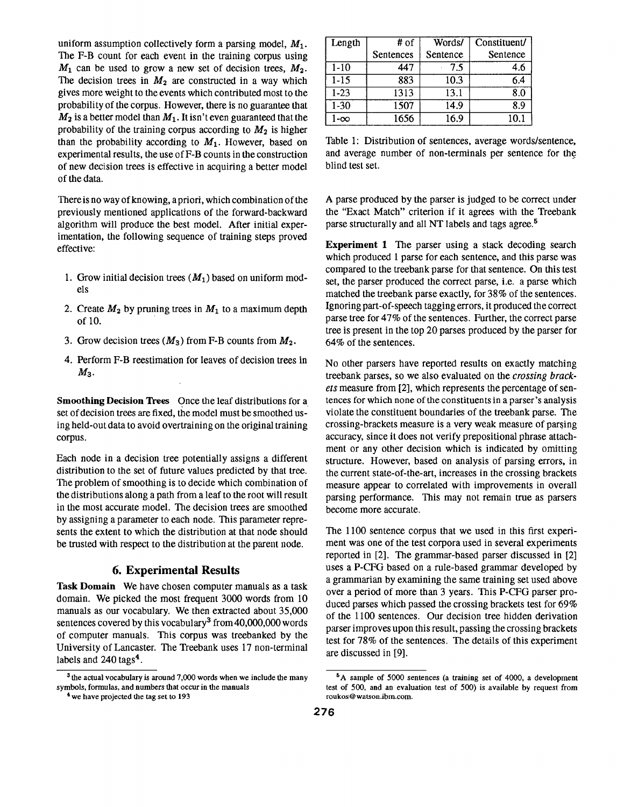uniform assumption collectively form a parsing model,  $M_1$ . The F-B count for each event in the training corpus using  $M_1$  can be used to grow a new set of decision trees,  $M_2$ . The decision trees in  $M_2$  are constructed in a way which gives more weight to the events which contributed most to the probability of the corpus. However, there is no guarantee that  $M_2$  is a better model than  $M_1$ . It isn't even guaranteed that the probability of the training corpus according to  $M_2$  is higher than the probability according to  $M_1$ . However, based on experimental results, the use of F-B counts in the construction of new decision trees is effective in acquiring a better model of the data.

There is no way of knowing, a priori, which combination of the previously mentioned applications of the forward-backward algorithm will produce the best model. After initial experimentation, the following sequence of training steps proved effective:

- 1. Grow initial decision trees  $(M_1)$  based on uniform models
- 2. Create  $M_2$  by pruning trees in  $M_1$  to a maximum depth of 10.
- 3. Grow decision trees  $(M_3)$  from F-B counts from  $M_2$ .
- 4. Perform F-B reestimation for leaves of decision trees in  $M_3$ .

**Smoothing Decision Trees** Once the leaf distributions for a set of decision trees are fixed, the model must be smoothed using held-out data to avoid overtraining on the original training corpus.

Each node in a decision tree potentially assigns a different distribution to the set of future values predicted by that tree. The problem of smoothing is to decide which combination of the distributions along a path from a leaf to the root will result in the most accurate model. The decision trees are smoothed by assigning a parameter to each node. This parameter represents the extent to which the distribution at that node should be trusted with respect to the distribution at the parent node.

### **6. Experimental Results**

**Task Domain** We have chosen computer manuals as a task domain. We picked the most frequent 3000 words from 10 manuals as our vocabulary. We then extracted about 35,000 sentences covered by this vocabulary<sup>3</sup> from 40,000,000 words of computer manuals. This corpus was treebanked by the University of Lancaster. The Treebank uses 17 non-terminal labels and 240 tags<sup>4</sup>.

| Length    | # of      | Words/   | Constituent/ |
|-----------|-----------|----------|--------------|
|           | Sentences | Sentence | Sentence     |
| $1-10$    | 447       | 7.5      | 4.6          |
| $1 - 15$  | 883       | 10.3     | 6.4          |
| $1 - 23$  | 1313      | 13.1     | ጻ በ          |
| $1-30$    | 1507      | 14.9     | ጸ ዓ          |
| $-\infty$ | 1656      | 16.9     |              |

Table 1: Distribution of sentences, average words/sentence, and average number of non-terminals per sentence for the blind test set.

A parse produced by the parser is judged to be correct under the "Exact Match" criterion if it agrees with the Treebank parse structurally and all NT labels and tags agree.<sup>5</sup>

**Experiment 1** The parser using a stack decoding search which produced 1 parse for each sentence, and this parse was compared to the treebank parse for that sentence. On this test set, the parser produced the correct parse, i.e. a parse which matched the treebank parse exactly, for 38% of the sentences. Ignoring part-of-speech tagging errors, it produced the correct parse tree for 47% of the sentences. Further, the correct parse tree is present in the top 20 parses produced by the parser for 64% of the sentences.

No other parsers have reported results on exactly matching treebank parses, so we also evaluated on the *crossing brackets* measure from [2], which represents the percentage of sentences for which none of the constituents in a parser's analysis violate the constituent boundaries of the treebank parse. The crossing-brackets measure is a very weak measure of parsing accuracy, since it does not verify prepositional phrase attachment or any other decision which is indicated by omitting structure. However, based on analysis of parsing errors, in the current state-of-the-art, increases in the crossing brackets measure appear to correlated with improvements in overall parsing performance. This may not remain true as parsers become more accurate.

The 1100 sentence corpus that we used in this first experiment was one of the test corpora used in several experiments reported in [2]. The grammar-based parser discussed in [2] uses a P-CFG based on a rule-based grammar developed by a grammarian by examining the same training set used above over a period of more than 3 years. This P-CFG parser produced parses which passed the crossing brackets test for 69% of the 1100 sentences. Our decision tree hidden derivation parser improves upon this result, passing the crossing brackets test for 78% of the sentences. The details of this experiment are discussed in [9].

<sup>&</sup>lt;sup>3</sup> the actual vocabulary is around 7,000 words when we include the many symbols, formulas, and numbers that occur in the manuals

<sup>&</sup>lt;sup>4</sup> we have projected the tag set to 193

<sup>&</sup>lt;sup>5</sup>A sample of 5000 sentences (a training set of 4000, a development test of 500, and an evaluation test of 500) is available by request from roukos Q watson.ibm.com.